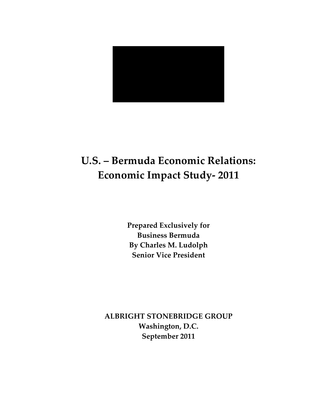

# **U.S. – Bermuda Economic Relations: Economic Impact Study-2011**

**Prepared Exclusively for Business\$Bermuda By\$Charles\$M.\$Ludolph Senior Vice President** 

**ALBRIGHT STONEBRIDGE GROUP** Washington, D.C. September 2011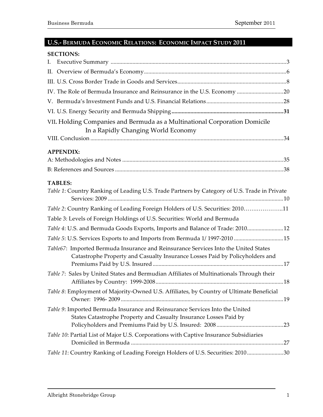# **U.S.- BERMUDA ECONOMIC RELATIONS: ECONOMIC IMPACT STUDY 2011**

| <b>SECTIONS:</b>                                                                                                                                                    |  |
|---------------------------------------------------------------------------------------------------------------------------------------------------------------------|--|
| I.                                                                                                                                                                  |  |
|                                                                                                                                                                     |  |
|                                                                                                                                                                     |  |
|                                                                                                                                                                     |  |
|                                                                                                                                                                     |  |
|                                                                                                                                                                     |  |
| VII. Holding Companies and Bermuda as a Multinational Corporation Domicile                                                                                          |  |
| In a Rapidly Changing World Economy                                                                                                                                 |  |
|                                                                                                                                                                     |  |
| <b>APPENDIX:</b>                                                                                                                                                    |  |
|                                                                                                                                                                     |  |
|                                                                                                                                                                     |  |
| <b>TABLES:</b>                                                                                                                                                      |  |
| Table 1: Country Ranking of Leading U.S. Trade Partners by Category of U.S. Trade in Private                                                                        |  |
| Table 2: Country Ranking of Leading Foreign Holders of U.S. Securities: 201011                                                                                      |  |
| Table 3: Levels of Foreign Holdings of U.S. Securities: World and Bermuda                                                                                           |  |
| Table 4: U.S. and Bermuda Goods Exports, Imports and Balance of Trade: 2010 12                                                                                      |  |
| Table 5: U.S. Services Exports to and Imports from Bermuda 1/1997-2010 15                                                                                           |  |
| Table67: Imported Bermuda Insurance and Reinsurance Services Into the United States<br>Catastrophe Property and Casualty Insurance Losses Paid by Policyholders and |  |
| Table 7: Sales by United States and Bermudian Affiliates of Multinationals Through their                                                                            |  |
| Table 8: Employment of Majority-Owned U.S. Affiliates, by Country of Ultimate Beneficial                                                                            |  |
| Table 9: Imported Bermuda Insurance and Reinsurance Services Into the United<br>States Catastrophe Property and Casualty Insurance Losses Paid by                   |  |
| Table 10: Partial List of Major U.S. Corporations with Captive Insurance Subsidiaries                                                                               |  |
| Table 11: Country Ranking of Leading Foreign Holders of U.S. Securities: 201030                                                                                     |  |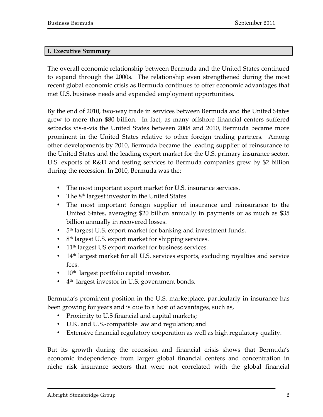#### **I. Executive Summary**

The overall economic relationship between Bermuda and the United States continued to expand through the 2000s. The relationship even strengthened during the most recent global economic crisis as Bermuda continues to offer economic advantages that met U.S. business needs and expanded employment opportunities.

By the end of 2010, two-way trade in services between Bermuda and the United States grew to more than \$80 billion. In fact, as many offshore financial centers suffered setbacks vis-a-vis the United States between 2008 and 2010, Bermuda became more prominent in the United States relative to other foreign trading partners. Among other developments by 2010, Bermuda became the leading supplier of reinsurance to the United States and the leading export market for the U.S. primary insurance sector. U.S. exports of R&D and testing services to Bermuda companies grew by \$2 billion during the recession. In 2010, Bermuda was the:

- The most important export market for U.S. insurance services.
- The  $8<sup>th</sup>$  largest investor in the United States
- The most important foreign supplier of insurance and reinsurance to the United States, averaging \$20 billion annually in payments or as much as \$35 billion annually in recovered losses.
- $\cdot$  5<sup>th</sup> largest U.S. export market for banking and investment funds.
- 8<sup>th</sup> largest U.S. export market for shipping services.
- $11<sup>th</sup>$  largest US export market for business services.
- $14<sup>th</sup>$  largest market for all U.S. services exports, excluding royalties and service fees.
- $10<sup>th</sup>$  largest portfolio capital investor.
- $4<sup>th</sup>$  largest investor in U.S. government bonds.

Bermuda's prominent position in the U.S. marketplace, particularly in insurance has been growing for years and is due to a host of advantages, such as,

- Proximity to U.S financial and capital markets;
- U.K. and U.S.-compatible law and regulation; and
- Extensive financial regulatory cooperation as well as high regulatory quality.

But its growth during the recession and financial crisis shows that Bermuda's economic independence from larger global financial centers and concentration in niche risk insurance sectors that were not correlated with the global financial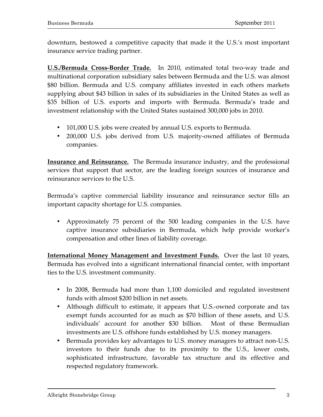downturn, bestowed a competitive capacity that made it the U.S.'s most important insurance service trading partner.

**U.S./Bermuda Cross-Border Trade.** In 2010, estimated total two-way trade and multinational corporation subsidiary sales between Bermuda and the U.S. was almost \$80 billion. Bermuda and U.S. company affiliates invested in each others markets supplying about \$43 billion in sales of its subsidiaries in the United States as well as \$35 billion of U.S. exports and imports with Bermuda. Bermuda's trade and investment relationship with the United States sustained 300,000 jobs in 2010.

- 101,000 U.S. jobs were created by annual U.S. exports to Bermuda.
- 200,000 U.S. jobs derived from U.S. majority-owned affiliates of Bermuda companies.

**Insurance and Reinsurance.** The Bermuda insurance industry, and the professional services that support that sector, are the leading foreign sources of insurance and reinsurance services to the U.S.

Bermuda's captive commercial liability insurance and reinsurance sector fills an important capacity shortage for U.S. companies.

• Approximately 75 percent of the 500 leading companies in the U.S. have captive insurance subsidiaries in Bermuda, which help provide worker's compensation and other lines of liability coverage.

**International Money Management and Investment Funds.** Over the last 10 years, Bermuda has evolved into a significant international financial center, with important ties to the U.S. investment community.

- In 2008, Bermuda had more than 1,100 domiciled and regulated investment funds with almost \$200 billion in net assets.
- Although difficult to estimate, it appears that U.S.-owned corporate and tax exempt funds accounted for as much as \$70 billion of these assets, and U.S. individuals' account for another \$30 billion. Most of these Bermudian investments are U.S. offshore funds established by U.S. money managers.
- Bermuda provides key advantages to U.S. money managers to attract non-U.S. investors to their funds due to its proximity to the U.S., lower costs, sophisticated infrastructure, favorable tax structure and its effective and respected regulatory framework.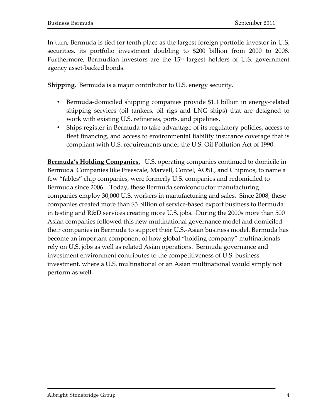In turn, Bermuda is tied for tenth place as the largest foreign portfolio investor in U.S. securities, its portfolio investment doubling to \$200 billion from 2000 to 2008. Furthermore, Bermudian investors are the  $15<sup>th</sup>$  largest holders of U.S. government agency asset-backed bonds.

**Shipping.** Bermuda is a major contributor to U.S. energy security.

- Bermuda-domiciled shipping companies provide \$1.1 billion in energy-related shipping services (oil tankers, oil rigs and LNG ships) that are designed to work with existing U.S. refineries, ports, and pipelines.
- Ships register in Bermuda to take advantage of its regulatory policies, access to fleet financing, and access to environmental liability insurance coverage that is compliant with U.S. requirements under the U.S. Oil Pollution Act of 1990.

**Bermuda's Holding Companies.** U.S. operating companies continued to domicile in Bermuda. Companies like Freescale, Marvell, Contel, AOSL, and Chipmos, to name a few "fables" chip companies, were formerly U.S. companies and redomiciled to Bermuda since 2006. Today, these Bermuda semiconductor manufacturing companies employ 30,000 U.S. workers in manufacturing and sales. Since 2008, these companies created more than \$3 billion of service-based export business to Bermuda in testing and R&D services creating more U.S. jobs. During the 2000s more than 500 Asian companies followed this new multinational governance model and domiciled their companies in Bermuda to support their U.S.-Asian business model. Bermuda has become an important component of how global "holding company" multinationals rely on U.S. jobs as well as related Asian operations. Bermuda governance and  $\overline{a}$ investment environment contributes to the competitiveness of U.S. business investment, where a U.S. multinational or an Asian multinational would simply not perform as well.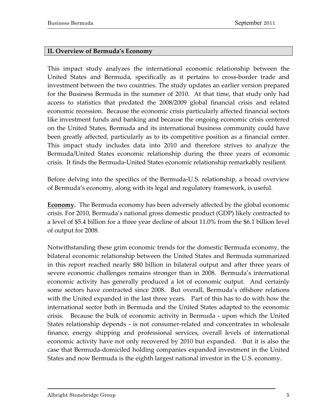#### **II. Overview of Bermuda's Economy**

This impact study analyzes the international economic relationship between the United States and Bermuda, specifically as it pertains to cross-border trade and investment between the two countries. The study updates an earlier version prepared for the Business Bermuda in the summer of 2010. At that time, that study only had access to statistics that predated the 2008/2009 global financial crisis and related economic recession. Because the economic crisis particularly affected financial sectors like investment funds and banking and because the ongoing economic crisis centered on the United States, Bermuda and its international business community could have been greatly affected, particularly as to its competitive position as a financial center. This impact study includes data into 2010 and therefore strives to analyze the Bermuda/United States economic relationship during the three years of economic crisis. It finds the Bermuda-United States economic relationship remarkably resilient.

Before delving into the specifics of the Bermuda-U.S. relationship, a broad overview of Bermuda's economy, along with its legal and regulatory framework, is useful.

**Economy.** The Bermuda economy has been adversely affected by the global economic crisis. For 2010, Bermuda's national gross domestic product (GDP) likely contracted to a level of \$5.4 billion for a three year decline of about 11.0% from the \$6.1 billion level of output for 2008.

Notwithstanding these grim economic trends for the domestic Bermuda economy, the bilateral economic relationship between the United States and Bermuda summarized in this report reached nearly \$80 billion in bilateral output and after three years of severe economic challenges remains stronger than in 2008. Bermuda's international economic activity has generally produced a lot of economic output. And certainly some sectors have contracted since 2008. But overall, Bermuda's offshore relations with the United expanded in the last three years. Part of this has to do with how the international sector both in Bermuda and the United States adapted to the economic crisis. Because the bulk of economic activity in Bermuda - upon which the United States relationship depends - is not consumer-related and concentrates in wholesale finance, energy shipping and professional services, overall levels of international economic activity have not only recovered by 2010 but expanded. But it is also the case that Bermuda-domiciled holding companies expanded investment in the United States and now Bermuda is the eighth largest national investor in the U.S. economy.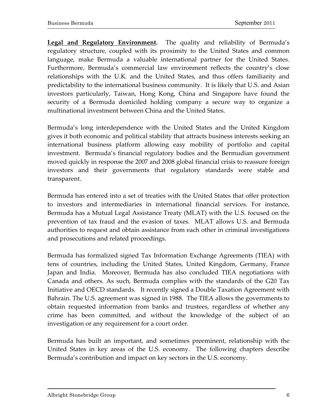Legal and Regulatory Environment. The quality and reliability of Bermuda's regulatory structure, coupled with its proximity to the United States and common language, make Bermuda a valuable international partner for the United States. Furthermore, Bermuda's commercial law environment reflects the country's close relationships with the U.K. and the United States, and thus offers familiarity and predictability to the international business community. It is likely that U.S. and Asian investors particularly, Taiwan, Hong Kong, China and Singapore have found the security of a Bermuda domiciled holding company a secure way to organize a multinational investment between China and the United States.

Bermuda's long interdependence with the United States and the United Kingdom gives it both economic and political stability that attracts business interests seeking an international business platform allowing easy mobility of portfolio and capital investment. Bermuda's financial regulatory bodies and the Bermudian government moved quickly in response the 2007 and 2008 global financial crisis to reassure foreign investors and their governments that regulatory standards were stable and transparent.

Bermuda has entered into a set of treaties with the United States that offer protection to investors and intermediaries in international financial services. For instance, Bermuda has a Mutual Legal Assistance Treaty (MLAT) with the U.S. focused on the prevention of tax fraud and the evasion of taxes. MLAT allows U.S. and Bermuda authorities to request and obtain assistance from each other in criminal investigations and prosecutions and related proceedings.

Bermuda has formalized signed Tax Information Exchange Agreements (TIEA) with tens of countries, including the United States, United Kingdom, Germany, France Japan and India. Moreover, Bermuda has also concluded TIEA negotiations with Canada and others. As such, Bermuda complies with the standards of the G20 Tax Initiative and OECD standards. It recently signed a Double Taxation Agreement with Bahrain. The U.S. agreement was signed in 1988. The TIEA allows the governments to obtain requested information from banks and trustees, regardless of whether any crime has been committed, and without the knowledge of the subject of an investigation or any requirement for a court order.

Bermuda has built an important, and sometimes preeminent, relationship with the United States in key areas of the U.S. economy. The following chapters describe Bermuda's contribution and impact on key sectors in the U.S. economy.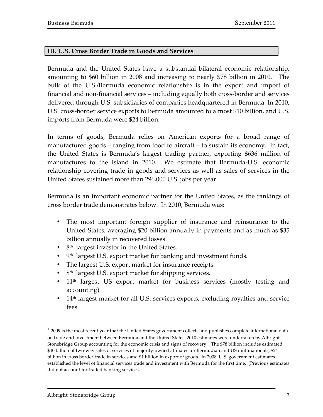#### **III. U.S. Cross Border Trade in Goods and Services**

Bermuda and the United States have a substantial bilateral economic relationship, amounting to  $$60$  billion in 2008 and increasing to nearly  $$78$  billion in 2010.<sup>1</sup> The bulk of the U.S./Bermuda economic relationship is in the export and import of financial and non-financial services – including equally both cross-border and services delivered through U.S. subsidiaries of companies headquartered in Bermuda. In 2010, U.S. cross-border service exports to Bermuda amounted to almost \$10 billion, and U.S. imports from Bermuda were \$24 billion.

In terms of goods, Bermuda relies on American exports for a broad range of manufactured goods – ranging from food to aircraft – to sustain its economy. In fact, the United States is Bermuda's largest trading partner, exporting \$636 million of manufactures to the island in 2010. We estimate that Bermuda-U.S. economic relationship covering trade in goods and services as well as sales of services in the United States sustained more than 296,000 U.S. jobs per year

Bermuda is an important economic partner for the United States, as the rankings of cross border trade demonstrates below. In 2010, Bermuda was:

- The most important foreign supplier of insurance and reinsurance to the United States, averaging \$20 billion annually in payments and as much as \$35 billion annually in recovered losses.
- $8<sup>th</sup>$  largest investor in the United States.
- $\cdot$  9<sup>th</sup> largest U.S. export market for banking and investment funds.
- The largest U.S. export market for insurance receipts.
- 8<sup>th</sup> largest U.S. export market for shipping services.
- 11<sup>th</sup> largest US export market for business services (mostly testing and accounting)
- 14<sup>th</sup> largest market for all U.S. services exports, excluding royalties and service fees.

 $\overline{a}$ 

 $12009$  is the most recent year that the United States government collects and publishes complete international data on trade and investment between Bermuda and the United States. 2010 estimates were undertaken by Albright Stonebridge Group accounting for the economic crisis and signs of recovery. The \$78 billion includes estimated \$40 billion of two-way sales of services of majority-owned affiliates for Bermudian and US multinationals, \$24 billion in cross border trade in services and \$1 billion in export of goods. In 2008, U.S. government estimates established the level of financial services trade and investment with Bermuda for the first time. (Previous estimates did not account for traded banking services.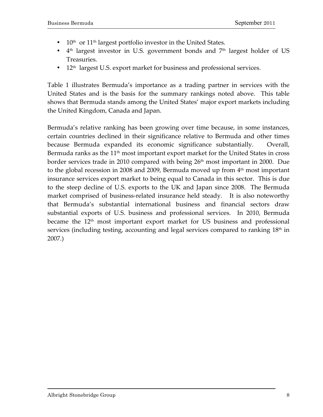- $10<sup>th</sup>$  or  $11<sup>th</sup>$  largest portfolio investor in the United States.
- $4<sup>th</sup>$  largest investor in U.S. government bonds and  $7<sup>th</sup>$  largest holder of US Treasuries.
- 12<sup>th</sup> largest U.S. export market for business and professional services.

Table 1 illustrates Bermuda's importance as a trading partner in services with the United States and is the basis for the summary rankings noted above. This table shows that Bermuda stands among the United States' major export markets including the United Kingdom, Canada and Japan.

Bermuda's relative ranking has been growing over time because, in some instances, certain countries declined in their significance relative to Bermuda and other times because Bermuda expanded its economic significance substantially. Overall, Bermuda ranks as the  $11<sup>th</sup>$  most important export market for the United States in cross border services trade in 2010 compared with being 26<sup>th</sup> most important in 2000. Due to the global recession in 2008 and 2009, Bermuda moved up from  $4<sup>th</sup>$  most important insurance services export market to being equal to Canada in this sector. This is due to the steep decline of U.S. exports to the UK and Japan since 2008. The Bermuda market comprised of business-related insurance held steady. It is also noteworthy that Bermuda's substantial international business and financial sectors draw substantial exports of U.S. business and professional services. In 2010, Bermuda became the 12<sup>th</sup> most important export market for US business and professional services (including testing, accounting and legal services compared to ranking  $18<sup>th</sup>$  in 2007.)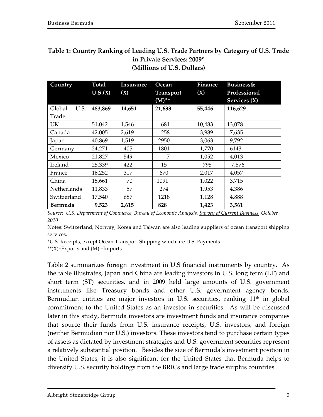| Country            | <b>Total</b><br>U.S.(X) | Insurance<br>(X) | Ocean<br><b>Transport</b><br>$(M)$ ** | <b>Finance</b><br>(X) | <b>Business&amp;</b><br>Professional<br>Services (X) |
|--------------------|-------------------------|------------------|---------------------------------------|-----------------------|------------------------------------------------------|
| Global<br>U.S.     | 483,869                 | 14,651           | 21,633                                | 55,446                | 116,629                                              |
| Trade              |                         |                  |                                       |                       |                                                      |
| UK.                | 51,042                  | 1,546            | 681                                   | 10,483                | 13,078                                               |
| Canada             | 42,005                  | 2,619            | 258                                   | 3,989                 | 7,635                                                |
| Japan              | 40,869                  | 1,519            | 2950                                  | 3,063                 | 9,792                                                |
| Germany            | 24,271                  | 405              | 1801                                  | 1,770                 | 6143                                                 |
| Mexico             | 21,827                  | 549              | 7                                     | 1,052                 | 4,013                                                |
| Ireland            | 25,339                  | 422              | 15                                    | 795                   | 7,876                                                |
| France             | 16,252                  | 317              | 670                                   | 2,017                 | 4,057                                                |
| China              | 15,661                  | 70               | 1091                                  | 1,022                 | 3,715                                                |
| <b>Netherlands</b> | 11,833                  | 57               | 274                                   | 1,953                 | 4,386                                                |
| Switzerland        | 17,540                  | 687              | 1218                                  | 1,128                 | 4,888                                                |
| Bermuda            | 9,523                   | 2,615            | 828                                   | 1,423                 | 3,561                                                |

## **Table 1: Country Ranking of Leading U.S. Trade Partners by Category of U.S. Trade in\$Private\$Services:\$2009\* (Millions\$of\$U.S.\$Dollars)**

*Source:&&U.S.&Department&of&Commerce,&Bureau&of&Economic&Analysis,&Survey&of&Current&Business,&October& 2010*

Notes: Switzerland, Norway, Korea and Taiwan are also leading suppliers of ocean transport shipping services.

\*U.S.!Receipts,!except!Ocean!Transport!Shipping!which!are!U.S.!Payments.

\*\* $(X)=$ Exports and  $(M)$  =Imports

Table 2 summarizes foreign investment in U.S financial instruments by country. As the table illustrates, Japan and China are leading investors in U.S. long term (LT) and short term (ST) securities, and in 2009 held large amounts of U.S. government instruments like Treasury bonds and other U.S. government agency bonds. Bermudian entities are major investors in U.S. securities, ranking  $11<sup>th</sup>$  in global commitment to the United States as an investor in securities. As will be discussed later in this study, Bermuda investors are investment funds and insurance companies that source their funds from U.S. insurance receipts, U.S. investors, and foreign (neither Bermudian nor U.S.) investors. These investors tend to purchase certain types of assets as dictated by investment strategies and U.S. government securities represent a relatively substantial position. Besides the size of Bermuda's investment position in the United States, it is also significant for the United States that Bermuda helps to diversify U.S. security holdings from the BRICs and large trade surplus countries.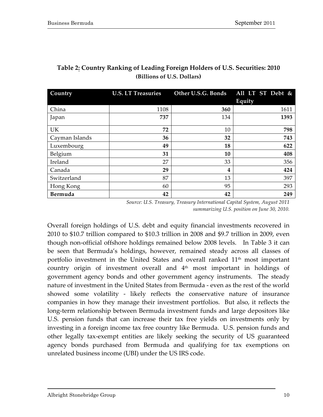| Country        | <b>U.S. LT Treasuries</b> | Other U.S.G. Bonds | All LT ST Debt & |
|----------------|---------------------------|--------------------|------------------|
|                |                           |                    | Equity           |
| China          | 1108                      | 360                | 1611             |
| Japan          | 737                       | 134                | 1393             |
| <b>UK</b>      | 72                        | 10                 | 798              |
| Cayman Islands | 36                        | 32                 | 743              |
| Luxembourg     | 49                        | 18                 | 622              |
| Belgium        | 31                        | 10                 | 408              |
| Ireland        | 27                        | 33                 | 356              |
| Canada         | 29                        | 4                  | 424              |
| Switzerland    | 87                        | 13                 | 397              |
| Hong Kong      | 60                        | 95                 | 293              |
| Bermuda        | 42                        | 42                 | 249              |

# **Table 2: Country Ranking of Leading Foreign Holders of U.S. Securities: 2010 (Billions of U.S. Dollars)**

Source: U.S. Treasury, Treasury International Capital System, August 2011 summarizing U.S. position on June 30, 2010.

Overall foreign holdings of U.S. debt and equity financial investments recovered in 2010 to  $$10.7$  trillion compared to  $$10.3$  trillion in 2008 and  $$9.7$  trillion in 2009, even though non-official offshore holdings remained below 2008 levels. In Table 3 it can be seen that Bermuda's holdings, however, remained steady across all classes of portfolio investment in the United States and overall ranked  $11<sup>th</sup>$  most important country origin of investment overall and  $4<sup>th</sup>$  most important in holdings of government agency bonds and other government agency instruments. The steady nature of investment in the United States from Bermuda - even as the rest of the world showed some volatility - likely reflects the conservative nature of insurance companies in how they manage their investment portfolios. But also, it reflects the long-term relationship between Bermuda investment funds and large depositors like U.S. pension funds that can increase their tax free yields on investments only by investing in a foreign income tax free country like Bermuda. U.S. pension funds and other legally tax-exempt entities are likely seeking the security of US guaranteed agency bonds purchased from Bermuda and qualifying for tax exemptions on unrelated business income (UBI) under the US IRS code.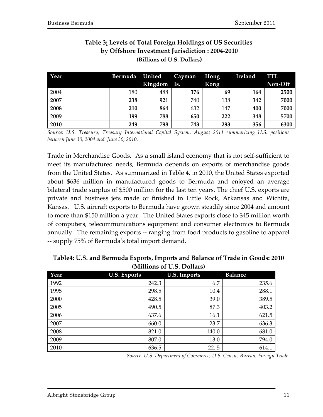| Year | Bermuda | United  | <b>Cayman</b> | Hong | Ireland | TTL.    |
|------|---------|---------|---------------|------|---------|---------|
|      |         | Kingdom | Is.           | Kong |         | Non-Off |
| 2004 | 180     | 488     | 376           | 69   | 164     | 2500    |
| 2007 | 238     | 921     | 740           | 138  | 342     | 7000    |
| 2008 | 210     | 864     | 632           | 147  | 400     | 7000    |
| 2009 | 199     | 788     | 650           | 222  | 348     | 5700    |
| 2010 | 249     | 798     | 743           | 293  | 356     | 6300    |

# **Table 3: Levels of Total Foreign Holdings of US Securities by Offshore Investment Jurisdiction : 2004-2010 (Billions\$of\$U.S.\$Dollars)**

*Source:& U.S.& Treasury,& Treasury& International& Capital& System,& August& 2011& summarizing& U.S.& positions& between&June&30,&2004&and& June&30,&2010.*

Trade in Merchandise Goods. As a small island economy that is not self-sufficient to meet its manufactured needs, Bermuda depends on exports of merchandise goods from the United States. As summarized in Table 4, in 2010, the United States exported about \$636 million in manufactured goods to Bermuda and enjoyed an average bilateral trade surplus of \$500 million for the last ten years. The chief U.S. exports are private and business jets made or finished in Little Rock, Arkansas and Wichita, Kansas. U.S. aircraft exports to Bermuda have grown steadily since 2004 and amount to more than \$150 million a year. The United States exports close to \$45 million worth of computers, telecommunications equipment and consumer electronics to Bermuda annually. The remaining exports -- ranging from food products to gasoline to apparel -- supply 75% of Bermuda's total import demand.

| Year | <b>U.S. Exports</b> | <b>U.S. Imports</b> | <b>Balance</b> |
|------|---------------------|---------------------|----------------|
| 1992 | 242.3               | 6.7                 | 235.6          |
| 1995 | 298.5               | 10.4                | 288.1          |
| 2000 | 428.5               | 39.0                | 389.5          |
| 2005 | 490.5               | 87.3                | 403.2          |
| 2006 | 637.6               | 16.1                | 621.5          |
| 2007 | 660.0               | 23.7                | 636.3          |
| 2008 | 821.0               | 140.0               | 681.0          |
| 2009 | 807.0               | 13.0                | 794.0          |
| 2010 | 636.5               | 22.5                | 614.1          |

**Table4: U.S. and Bermuda Exports, Imports and Balance of Trade in Goods: 2010 (Millions of U.S. Dollars)** 

*Source: U.S. Department of Commerce, U.S. Census Bureau, Foreign Trade.*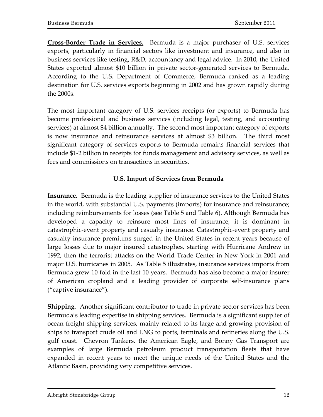**Cross-Border Trade in Services.** Bermuda is a major purchaser of U.S. services exports, particularly in financial sectors like investment and insurance, and also in business services like testing, R&D, accountancy and legal advice. In 2010, the United States exported almost \$10 billion in private sector-generated services to Bermuda. According to the U.S. Department of Commerce, Bermuda ranked as a leading destination for U.S. services exports beginning in 2002 and has grown rapidly during the 2000s.

The most important category of U.S. services receipts (or exports) to Bermuda has become professional and business services (including legal, testing, and accounting services) at almost \$4 billion annually. The second most important category of exports is now insurance and reinsurance services at almost \$3 billion. The third most significant category of services exports to Bermuda remains financial services that include \$1-2 billion in receipts for funds management and advisory services, as well as fees and commissions on transactions in securities.

# **U.S. Import of Services from Bermuda**

**Insurance.** Bermuda is the leading supplier of insurance services to the United States in the world, with substantial U.S. payments (imports) for insurance and reinsurance; including reimbursements for losses (see Table 5 and Table 6). Although Bermuda has developed a capacity to reinsure most lines of insurance, it is dominant in catastrophic-event property and casualty insurance. Catastrophic-event property and casualty insurance premiums surged in the United States in recent years because of large losses due to major insured catastrophes, starting with Hurricane Andrew in 1992, then the terrorist attacks on the World Trade Center in New York in 2001 and major U.S. hurricanes in 2005. As Table 5 illustrates, insurance services imports from Bermuda grew 10 fold in the last 10 years. Bermuda has also become a major insurer of American cropland and a leading provider of corporate self-insurance plans ("captive insurance").

**Shipping**. Another significant contributor to trade in private sector services has been Bermuda's leading expertise in shipping services. Bermuda is a significant supplier of ocean freight shipping services, mainly related to its large and growing provision of ships to transport crude oil and LNG to ports, terminals and refineries along the U.S. gulf coast. Chevron Tankers, the American Eagle, and Bonny Gas Transport are examples of large Bermuda petroleum product transportation fleets that have expanded in recent years to meet the unique needs of the United States and the Atlantic Basin, providing very competitive services.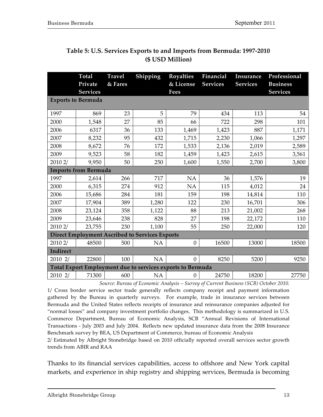|          | <b>Total</b><br>Private     | <b>Travel</b><br>& Fares | Shipping                                                   | <b>Royalties</b><br>& License | Financial<br><b>Services</b> | Insurance<br><b>Services</b> | Professional<br><b>Business</b> |
|----------|-----------------------------|--------------------------|------------------------------------------------------------|-------------------------------|------------------------------|------------------------------|---------------------------------|
|          | <b>Services</b>             |                          |                                                            | Fees                          |                              |                              | <b>Services</b>                 |
|          | <b>Exports to Bermuda</b>   |                          |                                                            |                               |                              |                              |                                 |
| 1997     | 869                         | 23                       | 5                                                          | 79                            | 434                          | 113                          | 54                              |
| 2000     | 1,548                       | 27                       | 85                                                         | 66                            | 722                          | 298                          | 101                             |
| 2006     | 6317                        | 36                       | 133                                                        | 1,469                         | 1,423                        | 887                          | 1,171                           |
| 2007     | 8,232                       | 95                       | 432                                                        | 1,715                         | 2,230                        | 1,066                        | 1,297                           |
| 2008     | 8,672                       | 76                       | 172                                                        | 1,533                         | 2,136                        | 2,019                        | 2,589                           |
| 2009     | 9,523                       | 58                       | 182                                                        | 1,459                         | 1,423                        | 2,615                        | 3,561                           |
| 2010 2/  | 9,950                       | 50                       | 250                                                        | 1,600                         | 1,550                        | 2,700                        | 3,800                           |
|          | <b>Imports from Bermuda</b> |                          |                                                            |                               |                              |                              |                                 |
| 1997     | 2,614                       | 266                      | 717                                                        | <b>NA</b>                     | 36                           | 1,576                        | 19                              |
| 2000     | 6,315                       | 274                      | 912                                                        | <b>NA</b>                     | 115                          | 4,012                        | 24                              |
| 2006     | 15,686                      | 284                      | 181                                                        | 159                           | 198                          | 14,814                       | 110                             |
| 2007     | 17,904                      | 389                      | 1,280                                                      | 122                           | 230                          | 16,701                       | 306                             |
| 2008     | 23,124                      | 358                      | 1,122                                                      | 88                            | 213                          | 21,002                       | 268                             |
| 2009     | 23,646                      | 238                      | 828                                                        | 27                            | 198                          | 22,172                       | 110                             |
| 2010 2/  | 23,755                      | 230                      | 1,100                                                      | 55                            | 250                          | 22,000                       | 120                             |
|          |                             |                          | <b>Direct Employment Ascribed to Services Exports</b>      |                               |                              |                              |                                 |
| 2010 2/  | 48500                       | 500                      | NA                                                         | $\mathbf{0}$                  | 16500                        | 13000                        | 18500                           |
| Indirect |                             |                          |                                                            |                               |                              |                              |                                 |
| 2010 2/  | 22800                       | 100                      | NA                                                         | $\overline{0}$                | 8250                         | 5200                         | 9250                            |
|          |                             |                          | Total Export Employment due to services exports to Bermuda |                               |                              |                              |                                 |
| 2010 2/  | 71300                       | 600                      | <b>NA</b>                                                  | $\boldsymbol{0}$              | 24750                        | 18200                        | 27750                           |

# **Table 5: U.S. Services Exports to and Imports from Bermuda: 1997-2010 (\$\$USD\$Million)**

*Source: Bureau of Economic Analysis – Survey of Current Business (SCB) October 2010.* 

1/ Cross border service sector trade generally reflects company receipt and payment information gathered by the Bureau in quarterly surveys. For example, trade in insurance services between Bermuda and the United States reflects receipts of insurance and reinsurance companies adjusted for "normal losses" and company investment portfolio changes. This methodology is summarized in U.S. Commerce Department, Bureau of Economic Analysis, SCB "Annual Revisions of International Transactions - July 2003 and July 2004. Reflects new updated insurance data from the 2008 Insurance Benchmark survey by BEA, US Department of Commerce, bureau of Economic Analysis

2/ Estimated by Albright Stonebridge based on 2010 officially reported overall services sector growth trends from ABIR and RAA

Thanks to its financial services capabilities, access to offshore and New York capital markets, and experience in ship registry and shipping services, Bermuda is becoming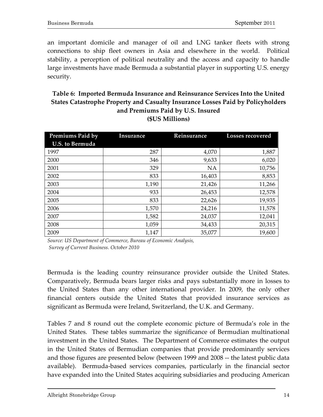an important domicile and manager of oil and LNG tanker fleets with strong connections to ship fleet owners in Asia and elsewhere in the world. Political stability, a perception of political neutrality and the access and capacity to handle large investments have made Bermuda a substantial player in supporting U.S. energy security.

# **Table 6: Imported Bermuda Insurance and Reinsurance Services Into the United States Catastrophe Property and Casualty Insurance Losses Paid by Policyholders** and Premiums Paid by U.S. Insured **(\$US\$Millions)**

| Premiums Paid by       | Insurance | Reinsurance |        |
|------------------------|-----------|-------------|--------|
| <b>U.S. to Bermuda</b> |           |             |        |
| 1997                   | 287       | 4,070       | 1,887  |
| 2000                   | 346       | 9,633       | 6,020  |
| 2001                   | 329       | <b>NA</b>   | 10,756 |
| 2002                   | 833       | 16,403      | 8,853  |
| 2003                   | 1,190     | 21,426      | 11,266 |
| 2004                   | 933       | 26,453      | 12,578 |
| 2005                   | 833       | 22,626      | 19,935 |
| 2006                   | 1,570     | 24,216      | 11,578 |
| 2007                   | 1,582     | 24,037      | 12,041 |
| 2008                   | 1,059     | 34,433      | 20,315 |
| 2009                   | 1,147     | 35,077      | 19,600 |

Source: US Department of Commerce, Bureau of Economic Analysis, *Survey&of&Current&Business. October&2010*

Bermuda is the leading country reinsurance provider outside the United States. Comparatively, Bermuda bears larger risks and pays substantially more in losses to the United States than any other international provider. In 2009, the only other financial centers outside the United States that provided insurance services as significant as Bermuda were Ireland, Switzerland, the U.K. and Germany.

Tables 7 and 8 round out the complete economic picture of Bermuda's role in the United States. These tables summarize the significance of Bermudian multinational investment in the United States. The Department of Commerce estimates the output in the United States of Bermudian companies that provide predominantly services and those figures are presented below (between 1999 and 2008 -- the latest public data available). Bermuda-based services companies, particularly in the financial sector have expanded into the United States acquiring subsidiaries and producing American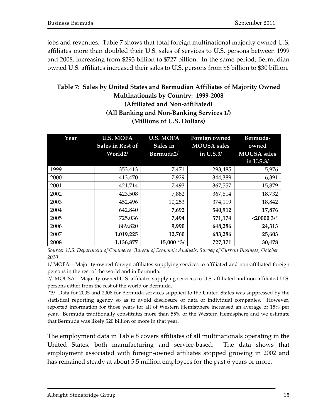jobs and revenues. Table 7 shows that total foreign multinational majority owned U.S. affiliates more than doubled their U.S. sales of services to U.S. persons between 1999 and 2008, increasing from \$293 billion to \$727 billion. In the same period, Bermudian owned U.S. affiliates increased their sales to U.S. persons from \$6 billion to \$30 billion.

# **Table 7: Sales by United States and Bermudian Affiliates of Majority Owned Multinationals by Country: 1999-2008 (Affiliated\$and\$Non:affiliated) (All Banking and Non-Banking Services 1/)**

**(Millions of U.S. Dollars)** 

| Year | <b>U.S. MOFA</b><br>Sales in Rest of<br>World2/ | <b>U.S. MOFA</b><br>Sales in<br>Bermuda2/ | <b>Foreign owned</b><br><b>MOUSA</b> sales<br>in U.S.3/ | Bermuda-<br>owned<br><b>MOUSA</b> sales<br>in U.S.3/ |
|------|-------------------------------------------------|-------------------------------------------|---------------------------------------------------------|------------------------------------------------------|
| 1999 | 353,413                                         | 7,471                                     | 293,485                                                 | 5,976                                                |
| 2000 | 413,470                                         | 7,929                                     | 344,389                                                 | 6,391                                                |
| 2001 | 421,714                                         | 7,493                                     | 367,557                                                 | 15,879                                               |
| 2002 | 423,508                                         | 7,882                                     | 367,614                                                 | 18,732                                               |
| 2003 | 452,496                                         | 10,253                                    | 374,119                                                 | 18,842                                               |
| 2004 | 642,840                                         | 7,692                                     | 540,912                                                 | 17,876                                               |
| 2005 | 725,036                                         | 7,494                                     | 571,174                                                 | $<$ 20000 3/*                                        |
| 2006 | 889,820                                         | 9,990                                     | 648,286                                                 | 24,313                                               |
| 2007 | 1,019,225                                       | 12,760                                    | 683,286                                                 | 25,603                                               |
| 2008 | 1,136,877                                       | 15,000 *3/                                | 727,371                                                 | 30,478                                               |

*Source:&&U.S.&Department&of&Commerce.&Bureau&of&Economic&Analysis,&Survey&of&Current&Business,&October 2010&*

1/ MOFA – Majority-owned foreign affiliates supplying services to affiliated and non-affiliated foreign persons in the rest of the world and in Bermuda.

2/ MOUSA – Majority-owned U.S. affiliates supplying services to U.S. affiliated and non-affiliated U.S. persons either from the rest of the world or Bermuda.

\*3/ Data for 2005 and 2008 for Bermuda services supplied to the United States was suppressed by the statistical reporting agency so as to avoid disclosure of data of individual companies. However, reported information for those years for all of Western Hemisphere increased an average of 15% per year. Bermuda traditionally constitutes more than 55% of the Western Hemisphere and we estimate that Bermuda was likely \$20 billion or more in that year.

The employment data in Table 8 covers affiliates of all multinationals operating in the United States, both manufacturing and service-based. The data shows that employment associated with foreign-owned affiliates stopped growing in 2002 and has remained steady at about 5.5 million employees for the past 6 years or more.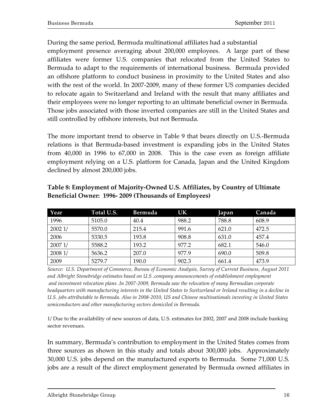During the same period, Bermuda multinational affiliates had a substantial employment presence averaging about 200,000 employees. A large part of these affiliates were former U.S. companies that relocated from the United States to Bermuda to adapt to the requirements of international business. Bermuda provided an offshore platform to conduct business in proximity to the United States and also with the rest of the world. In 2007-2009, many of these former US companies decided to relocate again to Switzerland and Ireland with the result that many affiliates and their employees were no longer reporting to an ultimate beneficial owner in Bermuda. Those jobs associated with those inverted companies are still in the United States and still controlled by offshore interests, but not Bermuda.

The more important trend to observe in Table 9 that bears directly on U.S.-Bermuda relations is that Bermuda-based investment is expanding jobs in the United States from  $40,000$  in 1996 to  $67,000$  in 2008. This is the case even as foreign affiliate employment relying on a U.S. platform for Canada, Japan and the United Kingdom declined by almost 200,000 jobs.

| Year   | Total U.S. | Bermuda | UK    | Japan | Canada |
|--------|------------|---------|-------|-------|--------|
| 1996   | 5105.0     | 40.4    | 988.2 | 788.8 | 608.9  |
| 20021/ | 5570.0     | 215.4   | 991.6 | 621.0 | 472.5  |
| 2006   | 5330.5     | 193.8   | 908.8 | 631.0 | 457.4  |
| 20071/ | 5588.2     | 193.2   | 977.2 | 682.1 | 546.0  |
| 20081/ | 5636.2     | 207.0   | 977.9 | 690.0 | 509.8  |
| 2009   | 5279.7     | 190.0   | 902.3 | 661.4 | 473.9  |

## **Table\$8: Employment\$of\$Majority:Owned\$U.S.\$Affiliates,\$by\$Country\$of\$Ultimate\$ Beneficial Owner: 1996-2009 (Thousands of Employees)**

*Source:&&U.S.&Department&of&Commerce,&Bureau of&Economic&Analysis,&Survey&of&Current&Business,&August&2011 and&Albright&Stonebridge&estimates&based&on&U.S&.company&announcements&of&establishment&employment* and investment relocation plans *.In* 2007-2009, Bermuda saw the relocation of many Bermudian corporate *headquarters&with&manufacturing&interests&in&the&United&States&to&Switzerland&or&Ireland&resulting&in&a&decline&in& U.S.&jobs&attributable&to&Bermuda.&Also&in&2008T2010,&US&and&Chinese&multinationals&investing&in&United&States&* semiconductors and other manufacturing sectors domiciled in Bermuda.

1/ Due to the availability of new sources of data, U.S. estimates for 2002, 2007 and 2008 include banking sector revenues.

In summary, Bermuda's contribution to employment in the United States comes from three sources as shown in this study and totals about 300,000 jobs. Approximately 30,000 U.S. jobs depend on the manufactured exports to Bermuda. Some 71,000 U.S. jobs are a result of the direct employment generated by Bermuda owned affiliates in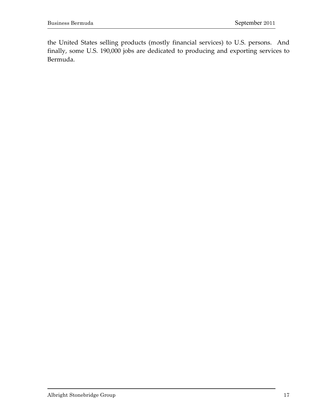the United States selling products (mostly financial services) to U.S. persons. And finally, some U.S. 190,000 jobs are dedicated to producing and exporting services to Bermuda.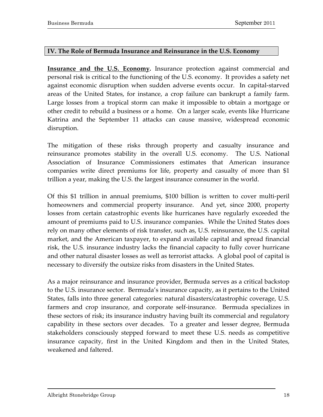#### **IV. The Role of Bermuda Insurance and Reinsurance in the U.S. Economy**

**Insurance and the U.S. Economy.** Insurance protection against commercial and personal risk is critical to the functioning of the U.S. economy. It provides a safety net against economic disruption when sudden adverse events occur. In capital-starved areas of the United States, for instance, a crop failure can bankrupt a family farm. Large losses from a tropical storm can make it impossible to obtain a mortgage or other credit to rebuild a business or a home. On a larger scale, events like Hurricane Katrina and the September 11 attacks can cause massive, widespread economic disruption.

The mitigation of these risks through property and casualty insurance and reinsurance promotes stability in the overall U.S. economy. The U.S. National Association of Insurance Commissioners estimates that American insurance companies write direct premiums for life, property and casualty of more than \$1 trillion a year, making the U.S. the largest insurance consumer in the world.

Of this \$1 trillion in annual premiums, \$100 billion is written to cover multi-peril homeowners and commercial property insurance. And yet, since 2000, property losses from certain catastrophic events like hurricanes have regularly exceeded the amount of premiums paid to U.S. insurance companies. While the United States does rely on many other elements of risk transfer, such as, U.S. reinsurance, the U.S. capital market, and the American taxpayer, to expand available capital and spread financial risk, the U.S. insurance industry lacks the financial capacity to fully cover hurricane and other natural disaster losses as well as terrorist attacks. A global pool of capital is necessary to diversify the outsize risks from disasters in the United States.

As a major reinsurance and insurance provider, Bermuda serves as a critical backstop to the U.S. insurance sector. Bermuda's insurance capacity, as it pertains to the United States, falls into three general categories: natural disasters/catastrophic coverage, U.S. farmers and crop insurance, and corporate self-insurance. Bermuda specializes in these sectors of risk; its insurance industry having built its commercial and regulatory capability in these sectors over decades. To a greater and lesser degree, Bermuda stakeholders consciously stepped forward to meet these U.S. needs as competitive insurance capacity, first in the United Kingdom and then in the United States, weakened and faltered.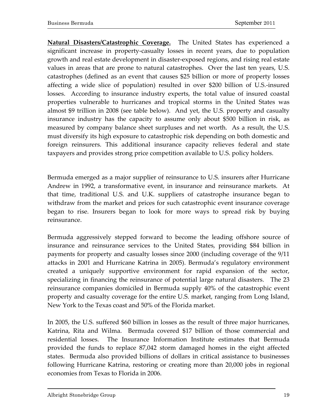**Natural Disasters/Catastrophic Coverage.** The United States has experienced a significant increase in property-casualty losses in recent years, due to population growth and real estate development in disaster-exposed regions, and rising real estate values in areas that are prone to natural catastrophes. Over the last ten years, U.S. catastrophes (defined as an event that causes \$25 billion or more of property losses affecting a wide slice of population) resulted in over \$200 billion of U.S.-insured losses. According to insurance industry experts, the total value of insured coastal properties vulnerable to hurricanes and tropical storms in the United States was almost \$9 trillion in 2008 (see table below). And yet, the U.S. property and casualty insurance industry has the capacity to assume only about \$500 billion in risk, as measured by company balance sheet surpluses and net worth. As a result, the U.S. must diversify its high exposure to catastrophic risk depending on both domestic and foreign reinsurers. This additional insurance capacity relieves federal and state taxpayers and provides strong price competition available to U.S. policy holders.

Bermuda emerged as a major supplier of reinsurance to U.S. insurers after Hurricane Andrew in 1992, a transformative event, in insurance and reinsurance markets. At that time, traditional U.S. and U.K. suppliers of catastrophe insurance began to withdraw from the market and prices for such catastrophic event insurance coverage began to rise. Insurers began to look for more ways to spread risk by buying reinsurance.

Bermuda aggressively stepped forward to become the leading offshore source of insurance and reinsurance services to the United States, providing \$84 billion in payments for property and casualty losses since 2000 (including coverage of the 9/11 attacks in 2001 and Hurricane Katrina in 2005). Bermuda's regulatory environment created a uniquely supportive environment for rapid expansion of the sector, specializing in financing the reinsurance of potential large natural disasters. The 23 reinsurance companies domiciled in Bermuda supply 40% of the catastrophic event property and casualty coverage for the entire U.S. market, ranging from Long Island, New York to the Texas coast and 50% of the Florida market.

In 2005, the U.S. suffered \$60 billion in losses as the result of three major hurricanes, Katrina, Rita and Wilma. Bermuda covered \$17 billion of those commercial and residential losses. The Insurance Information Institute estimates that Bermuda provided the funds to replace 87,042 storm damaged homes in the eight affected states. Bermuda also provided billions of dollars in critical assistance to businesses following Hurricane Katrina, restoring or creating more than 20,000 jobs in regional economies from Texas to Florida in 2006.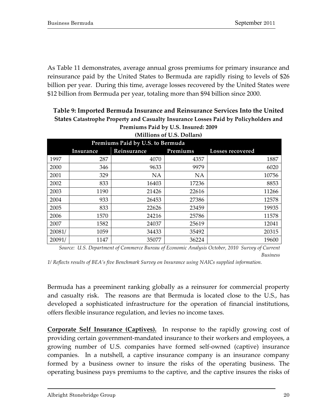As Table 11 demonstrates, average annual gross premiums for primary insurance and reinsurance paid by the United States to Bermuda are rapidly rising to levels of \$26 billion per year. During this time, average losses recovered by the United States were \$12 billion from Bermuda per year, totaling more than \$94 billion since 2000.

| (Millions of U.S. Dollars)       |                                                                 |           |           |       |  |  |  |  |
|----------------------------------|-----------------------------------------------------------------|-----------|-----------|-------|--|--|--|--|
| Premiums Paid by U.S. to Bermuda |                                                                 |           |           |       |  |  |  |  |
|                                  | Premiums<br>Reinsurance<br><b>Losses recovered</b><br>Insurance |           |           |       |  |  |  |  |
| 1997                             | 287                                                             | 4070      | 4357      | 1887  |  |  |  |  |
| 2000                             | 346                                                             | 9633      | 9979      | 6020  |  |  |  |  |
| 2001                             | 329                                                             | <b>NA</b> | <b>NA</b> | 10756 |  |  |  |  |
| 2002                             | 833                                                             | 16403     | 17236     | 8853  |  |  |  |  |
| 2003                             | 1190                                                            | 21426     | 22616     | 11266 |  |  |  |  |
| 2004                             | 933                                                             | 26453     | 27386     | 12578 |  |  |  |  |
| 2005                             | 833                                                             | 22626     | 23459     | 19935 |  |  |  |  |
| 2006                             | 1570                                                            | 24216     | 25786     | 11578 |  |  |  |  |
| 2007                             | 1582                                                            | 24037     | 25619     | 12041 |  |  |  |  |
| 20081/                           | 1059                                                            | 34433     | 35492     | 20315 |  |  |  |  |
| 20091/                           | 1147                                                            | 35077     | 36224     | 19600 |  |  |  |  |

# **Table 9: Imported Bermuda Insurance and Reinsurance Services Into the United States Catastrophe Property and Casualty Insurance Losses Paid by Policyholders and** Premiums Paid by U.S. Insured: 2009

*Source:&&U.S.&Department&of&Commerce&Bureau&of&Economic&Analysis&October,&2010& Survey&of&Current& Business*

1/ Reflects results of BEA's five Benchmark Survey on Insurance using NAICs supplied information.

Bermuda has a preeminent ranking globally as a reinsurer for commercial property and casualty risk. The reasons are that Bermuda is located close to the U.S., has developed a sophisticated infrastructure for the operation of financial institutions, offers flexible insurance regulation, and levies no income taxes.

**Corporate Self Insurance (Captives).** In response to the rapidly growing cost of providing certain government-mandated insurance to their workers and employees, a growing number of U.S. companies have formed self-owned (captive) insurance companies. In a nutshell, a captive insurance company is an insurance company formed by a business owner to insure the risks of the operating business. The operating business pays premiums to the captive, and the captive insures the risks of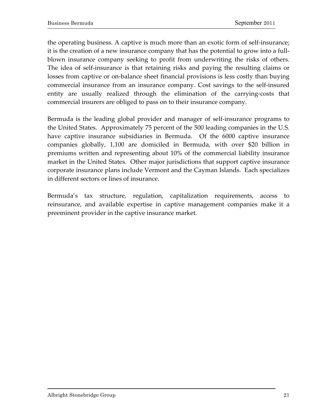the operating business. A captive is much more than an exotic form of self-insurance; it is the creation of a new insurance company that has the potential to grow into a fullblown insurance company seeking to profit from underwriting the risks of others. The idea of self-insurance is that retaining risks and paying the resulting claims or losses from captive or on-balance sheet financial provisions is less costly than buying commercial insurance from an insurance company. Cost savings to the self-insured entity are usually realized through the elimination of the carrying-costs that commercial insurers are obliged to pass on to their insurance company.

Bermuda is the leading global provider and manager of self-insurance programs to the United States. Approximately 75 percent of the 500 leading companies in the U.S. have captive insurance subsidiaries in Bermuda. Of the 6000 captive insurance companies globally, 1,100 are domiciled in Bermuda, with over \$20 billion in premiums written and representing about 10% of the commercial liability insurance market in the United States. Other major jurisdictions that support captive insurance corporate insurance plans include Vermont and the Cayman Islands. Each specializes in different sectors or lines of insurance.

Bermuda's tax structure, regulation, capitalization requirements, access to reinsurance, and available expertise in captive management companies make it a preeminent provider in the captive insurance market.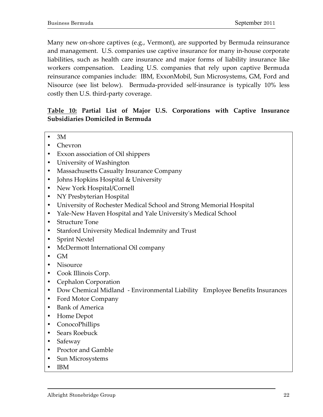Many new on-shore captives (e.g., Vermont), are supported by Bermuda reinsurance and management. U.S. companies use captive insurance for many in-house corporate liabilities, such as health care insurance and major forms of liability insurance like workers compensation. Leading U.S. companies that rely upon captive Bermuda reinsurance companies include: IBM, ExxonMobil, Sun Microsystems, GM, Ford and Nisource (see list below). Bermuda-provided self-insurance is typically 10% less costly then U.S. third-party coverage.

# Table 10: Partial List of Major U.S. Corporations with Captive Insurance **Subsidiaries Domiciled in Bermuda**

- $\bullet$  3M
- Chevron
- Exxon association of Oil shippers
- University of Washington
- Massachusetts Casualty Insurance Company
- Johns Hopkins Hospital & University
- New York Hospital/Cornell
- NY Presbyterian Hospital
- **University of Rochester Medical School and Strong Memorial Hospital**
- Yale-New Haven Hospital and Yale University's Medical School
- Structure Tone
- Stanford University Medical Indemnity and Trust
- Sprint!Nextel
- McDermott International Oil company
- GM
- Nisource
- Cook Illinois Corp.
- Cephalon Corporation
- Dow!Chemical!Midland!!] Environmental!Liability!!!Employee!Benefits!Insurances
- Ford Motor Company
- Bank of America
- Home!Depot
- ConocoPhillips
- Sears!Roebuck
- Safeway
- Proctor and Gamble
- Sun Microsystems
- IBM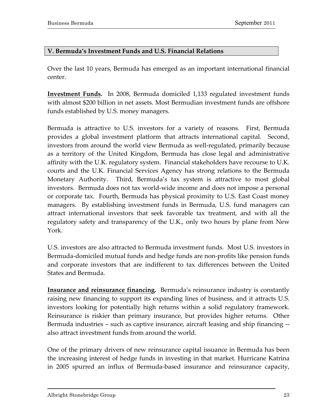#### **V. Bermuda's Investment Funds and U.S. Financial Relations**

Over the last 10 years, Bermuda has emerged as an important international financial center.

**Investment Funds.** In 2008, Bermuda domiciled 1,133 regulated investment funds with almost \$200 billion in net assets. Most Bermudian investment funds are offshore funds established by U.S. money managers.

Bermuda is attractive to U.S. investors for a variety of reasons. First, Bermuda provides a global investment platform that attracts international capital. Second, investors from around the world view Bermuda as well-regulated, primarily because as a territory of the United Kingdom, Bermuda has close legal and administrative affinity with the U.K. regulatory system. Financial stakeholders have recourse to U.K. courts and the U.K. Financial Services Agency has strong relations to the Bermuda Monetary Authority. Third, Bermuda's tax system is attractive to most global investors. Bermuda does not tax world-wide income and does not impose a personal or corporate tax. Fourth, Bermuda has physical proximity to U.S. East Coast money managers. By establishing investment funds in Bermuda, U.S. fund managers can attract international investors that seek favorable tax treatment, and with all the regulatory safety and transparency of the U.K., only two hours by plane from New York.

U.S. investors are also attracted to Bermuda investment funds. Most U.S. investors in Bermuda-domiciled mutual funds and hedge funds are non-profits like pension funds and corporate investors that are indifferent to tax differences between the United States and Bermuda.

**Insurance and reinsurance financing.** Bermuda's reinsurance industry is constantly raising new financing to support its expanding lines of business, and it attracts U.S. investors looking for potentially high returns within a solid regulatory framework. Reinsurance is riskier than primary insurance, but provides higher returns. Other Bermuda industries – such as captive insurance, aircraft leasing and ship financing also attract investment funds from around the world.

One of the primary drivers of new reinsurance capital issuance in Bermuda has been the increasing interest of hedge funds in investing in that market. Hurricane Katrina in 2005 spurred an influx of Bermuda-based insurance and reinsurance capacity,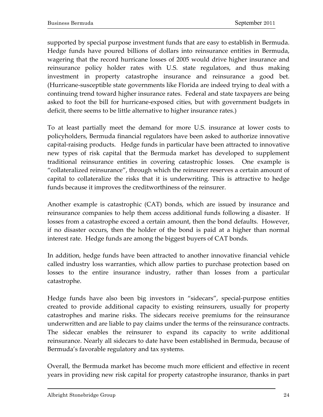supported by special purpose investment funds that are easy to establish in Bermuda. Hedge funds have poured billions of dollars into reinsurance entities in Bermuda, wagering that the record hurricane losses of 2005 would drive higher insurance and reinsurance policy holder rates with U.S. state regulators, and thus making investment in property catastrophe insurance and reinsurance a good bet. (Hurricane-susceptible state governments like Florida are indeed trying to deal with a continuing trend toward higher insurance rates. Federal and state taxpayers are being asked to foot the bill for hurricane-exposed cities, but with government budgets in deficit, there seems to be little alternative to higher insurance rates.)

To at least partially meet the demand for more U.S. insurance at lower costs to policyholders, Bermuda financial regulators have been asked to authorize innovative capital-raising products. Hedge funds in particular have been attracted to innovative new types of risk capital that the Bermuda market has developed to supplement traditional reinsurance entities in covering catastrophic losses. One example is "collateralized reinsurance", through which the reinsurer reserves a certain amount of capital to collateralize the risks that it is underwriting. This is attractive to hedge funds because it improves the creditworthiness of the reinsurer.

Another example is catastrophic (CAT) bonds, which are issued by insurance and reinsurance companies to help them access additional funds following a disaster. If losses from a catastrophe exceed a certain amount, then the bond defaults. However, if no disaster occurs, then the holder of the bond is paid at a higher than normal interest rate. Hedge funds are among the biggest buyers of CAT bonds.

In addition, hedge funds have been attracted to another innovative financial vehicle called industry loss warranties, which allow parties to purchase protection based on losses to the entire insurance industry, rather than losses from a particular catastrophe.

Hedge funds have also been big investors in "sidecars", special-purpose entities created to provide additional capacity to existing reinsurers, usually for property catastrophes and marine risks. The sidecars receive premiums for the reinsurance underwritten and are liable to pay claims under the terms of the reinsurance contracts. The sidecar enables the reinsurer to expand its capacity to write additional reinsurance. Nearly all sidecars to date have been established in Bermuda, because of Bermuda's favorable regulatory and tax systems.

Overall, the Bermuda market has become much more efficient and effective in recent years in providing new risk capital for property catastrophe insurance, thanks in part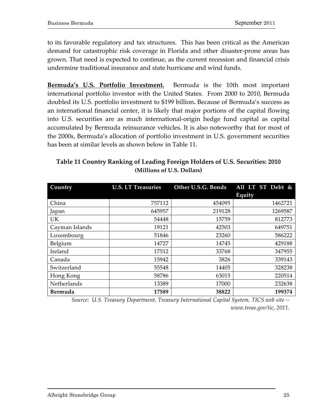to its favorable regulatory and tax structures. This has been critical as the American demand for catastrophic risk coverage in Florida and other disaster-prone areas has grown. That need is expected to continue, as the current recession and financial crisis undermine traditional insurance and state hurricane and wind funds.

**Bermuda's U.S. Portfolio Investment.** Bermuda is the 10th most important international portfolio investor with the United States. From 2000 to 2010, Bermuda doubled its U.S. portfolio investment to \$199 billion. Because of Bermuda's success as an international financial center, it is likely that major portions of the capital flowing into U.S. securities are as much international-origin hedge fund capital as capital accumulated by Bermuda reinsurance vehicles. It is also noteworthy that for most of the 2000s, Bermuda's allocation of portfolio investment in U.S. government securities has been at similar levels as shown below in Table 11.

| Country        | <b>U.S. LT Treasuries</b> | Other U.S.G. Bonds | All LT ST Debt & |
|----------------|---------------------------|--------------------|------------------|
|                |                           |                    | Equity           |
| China          | 757112                    | 454095             | 1462721          |
| Japan          | 645957                    | 219128             | 1269587          |
| <b>UK</b>      | 54448                     | 15759              | 812773           |
| Cayman Islands | 19121                     | 42503              | 649751           |
| Luxembourg     | 51846                     | 23260              | 586222           |
| Belgium        | 14727                     | 14745              | 429188           |
| Ireland        | 17512                     | 33768              | 347955           |
| Canada         | 15942                     | 3826               | 339143           |
| Switzerland    | 55548                     | 14405              | 328238           |
| Hong Kong      | 58786                     | 63015              | 220514           |
| Netherlands    | 13389                     | 17000              | 232638           |
| Bermuda        | 17589                     | 38822              | 199374           |

# **Table 11 Country Ranking of Leading Foreign Holders of U.S. Securities: 2010 (Millions\$of\$U.S.\$Dollars)**

*Source: U.S. Treasury Department, Treasury International Capital System, TICS web site -www.treas.gov/tic,&2011.*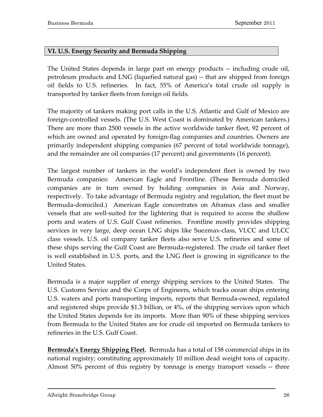## **VI.\$U.S. Energy\$Security and Bermuda Shipping**

The United States depends in large part on energy products -- including crude oil, petroleum products and LNG (liquefied natural gas) -- that are shipped from foreign oil fields to U.S. refineries. In fact,  $55%$  of America's total crude oil supply is transported by tanker fleets from foreign oil fields.

The majority of tankers making port calls in the U.S. Atlantic and Gulf of Mexico are foreign-controlled vessels. (The U.S. West Coast is dominated by American tankers.) There are more than 2500 vessels in the active worldwide tanker fleet, 92 percent of which are owned and operated by foreign-flag companies and countries. Owners are primarily independent shipping companies (67 percent of total worldwide tonnage), and the remainder are oil companies (17 percent) and governments (16 percent).

The largest number of tankers in the world's independent fleet is owned by two Bermuda companies: American Eagle and Frontline. (These Bermuda domiciled companies are in turn owned by holding companies in Asia and Norway, respectively. To take advantage of Bermuda registry and regulation, the fleet must be Bermuda-domiciled.) American Eagle concentrates on Aframax class and smaller vessels that are well-suited for the lightering that is required to access the shallow ports and waters of U.S. Gulf Coast refineries. Frontline mostly provides shipping services in very large, deep ocean LNG ships like Suezmax-class, VLCC and ULCC class vessels. U.S. oil company tanker fleets also serve U.S. refineries and some of these ships serving the Gulf Coast are Bermuda-registered. The crude oil tanker fleet is well established in U.S. ports, and the LNG fleet is growing in significance to the United States.

Bermuda is a major supplier of energy shipping services to the United States. The U.S. Customs Service and the Corps of Engineers, which tracks ocean ships entering U.S. waters and ports transporting imports, reports that Bermuda-owned, regulated and registered ships provide  $$1.3$  billion, or  $4\%$ , of the shipping services upon which the United States depends for its imports. More than 90% of these shipping services from Bermuda to the United States are for crude oil imported on Bermuda tankers to refineries in the U.S. Gulf Coast.

Bermuda's **Energy Shipping Fleet.** Bermuda has a total of 158 commercial ships in its national registry; constituting approximately 10 million dead weight tons of capacity. Almost 50% percent of this registry by tonnage is energy transport vessels -- three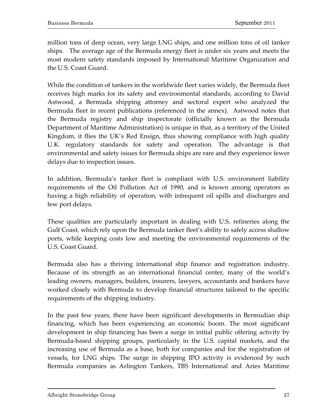million tons of deep ocean, very large LNG ships, and one million tons of oil tanker ships. The average age of the Bermuda energy fleet is under six years and meets the most modern safety standards imposed by International Maritime Organization and the U.S. Coast Guard.

While the condition of tankers in the worldwide fleet varies widely, the Bermuda fleet receives high marks for its safety and environmental standards, according to David Astwood, a Bermuda shipping attorney and sectoral expert who analyzed the Bermuda fleet in recent publications (referenced in the annex). Astwood notes that the Bermuda registry and ship inspectorate (officially known as the Bermuda Department of Maritime Administration) is unique in that, as a territory of the United Kingdom, it flies the UK's Red Ensign, thus showing compliance with high quality U.K. regulatory standards for safety and operation. The advantage is that environmental and safety issues for Bermuda ships are rare and they experience fewer delays due to inspection issues.

In addition, Bermuda's tanker fleet is compliant with U.S. environment liability requirements of the Oil Pollution Act of 1990, and is known among operators as having a high reliability of operation, with infrequent oil spills and discharges and few port delays.

These qualities are particularly important in dealing with U.S. refineries along the Gulf Coast, which rely upon the Bermuda tanker fleet's ability to safely access shallow ports, while keeping costs low and meeting the environmental requirements of the U.S. Coast Guard.

Bermuda also has a thriving international ship finance and registration industry. Because of its strength as an international financial center, many of the world's leading owners, managers, builders, insurers, lawyers, accountants and bankers have worked closely with Bermuda to develop financial structures tailored to the specific requirements of the shipping industry.

In the past few years, there have been significant developments in Bermudian ship financing, which has been experiencing an economic boom. The most significant development in ship financing has been a surge in initial public offering activity by Bermuda-based shipping groups, particularly in the U.S. capital markets, and the increasing use of Bermuda as a base, both for companies and for the registration of vessels, for LNG ships. The surge in shipping IPO activity is evidenced by such Bermuda companies as Arlington Tankers, TBS International and Aries Maritime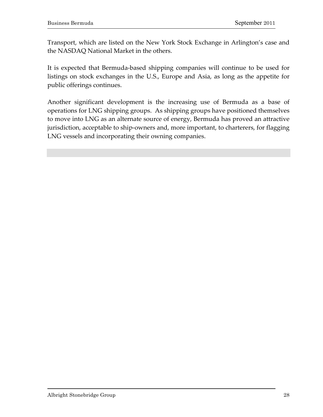Transport, which are listed on the New York Stock Exchange in Arlington's case and the NASDAQ National Market in the others.

It is expected that Bermuda-based shipping companies will continue to be used for listings on stock exchanges in the U.S., Europe and Asia, as long as the appetite for public offerings continues.

Another significant development is the increasing use of Bermuda as a base of operations for LNG shipping groups. As shipping groups have positioned themselves to move into LNG as an alternate source of energy, Bermuda has proved an attractive jurisdiction, acceptable to ship-owners and, more important, to charterers, for flagging LNG vessels and incorporating their owning companies.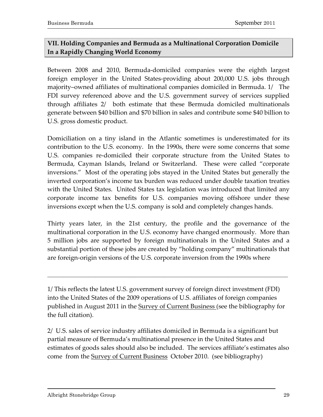# **VII. Holding Companies and Bermuda as a Multinational Corporation Domicile In a Rapidly Changing World Economy**

Between 2008 and 2010, Bermuda-domiciled companies were the eighth largest foreign employer in the United States-providing about 200,000 U.S. jobs through majority–owned affiliates of multinational companies domiciled in Bermuda. 1/ The FDI survey referenced above and the U.S. government survey of services supplied through affiliates 2/ both estimate that these Bermuda domiciled multinationals generate between \$40 billion and \$70 billion in sales and contribute some \$40 billion to U.S. gross domestic product.

Domiciliation on a tiny island in the Atlantic sometimes is underestimated for its contribution to the U.S. economy. In the 1990s, there were some concerns that some U.S. companies re-domiciled their corporate structure from the United States to Bermuda, Cayman Islands, Ireland or Switzerland. These were called "corporate inversions." Most of the operating jobs stayed in the United States but generally the inverted corporation's income tax burden was reduced under double taxation treaties with the United States. United States tax legislation was introduced that limited any corporate income tax benefits for U.S. companies moving offshore under these inversions except when the U.S. company is sold and completely changes hands.

Thirty years later, in the 21st century, the profile and the governance of the multinational corporation in the U.S. economy have changed enormously. More than 5 million jobs are supported by foreign multinationals in the United States and a substantial portion of these jobs are created by "holding company" multinationals that are foreign-origin versions of the U.S. corporate inversion from the 1990s where

1/ This reflects the latest U.S. government survey of foreign direct investment (FDI) into the United States of the 2009 operations of U.S. affiliates of foreign companies published in August 2011 in the Survey of Current Business (see the bibliography for the full citation).

 $\mathcal{L}_\text{max}$  , and the set of the set of the set of the set of the set of the set of the set of the set of the set of

2/ U.S. sales of service industry affiliates domiciled in Bermuda is a significant but partial measure of Bermuda's multinational presence in the United States and estimates of goods sales should also be included. The services affiliate's estimates also come from the Survey of Current Business October 2010. (see bibliography)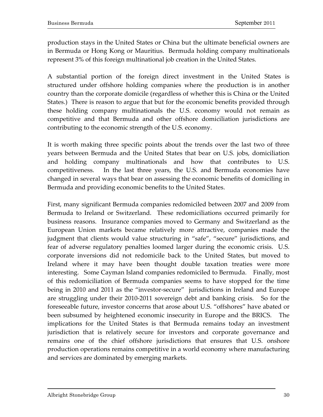production stays in the United States or China but the ultimate beneficial owners are in Bermuda or Hong Kong or Mauritius. IBermuda holding company multinationals represent 3% of this foreign multinational job creation in the United States.

A substantial portion of the foreign direct investment in the United States is structured under offshore holding companies where the production is in another country than the corporate domicile (regardless of whether this is China or the United States.) There is reason to argue that but for the economic benefits provided through these holding company multinationals the U.S. economy would not remain as competitive and that Bermuda and other offshore domiciliation jurisdictions are contributing to the economic strength of the U.S. economy.

It is worth making three specific points about the trends over the last two of three years between Bermuda and the United States that bear on U.S. jobs, domiciliation and holding company multinationals and how that contributes to U.S. competitiveness. In the last three years, the U.S. and Bermuda economies have changed in several ways that bear on assessing the economic benefits of domiciling in Bermuda and providing economic benefits to the United States.

First, many significant Bermuda companies redomiciled between 2007 and 2009 from Bermuda to Ireland or Switzerland. These redomiciliations occurred primarily for business reasons. Insurance companies moved to Germany and Switzerland as the European Union markets became relatively more attractive, companies made the judgment that clients would value structuring in "safe", "secure" jurisdictions, and fear of adverse regulatory penalties loomed larger during the economic crisis. U.S. corporate inversions did not redomicile back to the United States, but moved to Ireland where it may have been thought double taxation treaties were more interesting. Some Cayman Island companies redomiciled to Bermuda. Finally, most of this redomiciliation of Bermuda companies seems to have stopped for the time being in 2010 and 2011 as the "investor-secure" jurisdictions in Ireland and Europe are struggling under their 2010-2011 sovereign debt and banking crisis. So for the foreseeable future, investor concerns that arose about U.S. "offshores" have abated or been subsumed by heightened economic insecurity in Europe and the BRICS. The implications for the United States is that Bermuda remains today an investment jurisdiction that is relatively secure for investors and corporate governance and remains one of the chief offshore jurisdictions that ensures that U.S. onshore production operations remains competitive in a world economy where manufacturing and services are dominated by emerging markets.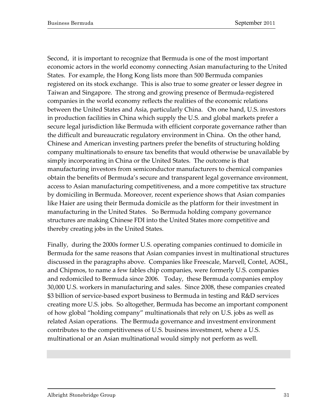Second, it is important to recognize that Bermuda is one of the most important economic actors in the world economy connecting Asian manufacturing to the United States. For example, the Hong Kong lists more than 500 Bermuda companies registered on its stock exchange. This is also true to some greater or lesser degree in Taiwan and Singapore. The strong and growing presence of Bermuda-registered companies in the world economy reflects the realities of the economic relations between the United States and Asia, particularly China. On one hand, U.S. investors in production facilities in China which supply the U.S. and global markets prefer a secure legal jurisdiction like Bermuda with efficient corporate governance rather than the difficult and bureaucratic regulatory environment in China. On the other hand, Chinese and American investing partners prefer the benefits of structuring holding company multinationals to ensure tax benefits that would otherwise be unavailable by simply incorporating in China or the United States. The outcome is that manufacturing investors from semiconductor manufacturers to chemical companies obtain the benefits of Bermuda's secure and transparent legal governance environment, access to Asian manufacturing competitiveness, and a more competitive tax structure by domiciling in Bermuda. Moreover, recent experience shows that Asian companies like Haier are using their Bermuda domicile as the platform for their investment in manufacturing in the United States. So Bermuda holding company governance structures are making Chinese FDI into the United States more competitive and thereby creating jobs in the United States.

Finally, during the 2000s former U.S. operating companies continued to domicile in Bermuda for the same reasons that Asian companies invest in multinational structures discussed in the paragraphs above. Companies like Freescale, Marvell, Contel, AOSL, and Chipmos, to name a few fables chip companies, were formerly U.S. companies and redomiciled to Bermuda since 2006. Today, these Bermuda companies employ 30,000 U.S. workers in manufacturing and sales. Since 2008, these companies created \$3 billion of service-based export business to Bermuda in testing and R&D services creating more U.S. jobs. So altogether, Bermuda has become an important component of how global "holding company" multinationals that rely on U.S. jobs as well as related Asian operations. The Bermuda governance and investment environment contributes to the competitiveness of U.S. business investment, where a U.S. multinational or an Asian multinational would simply not perform as well.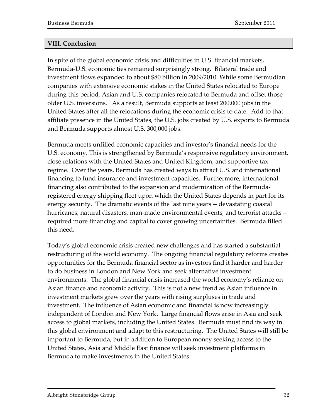#### **VIII. Conclusion**

In spite of the global economic crisis and difficulties in U.S. financial markets, Bermuda-U.S. economic ties remained surprisingly strong. Bilateral trade and investment flows expanded to about \$80 billion in 2009/2010. While some Bermudian companies with extensive economic stakes in the United States relocated to Europe during this period, Asian and U.S. companies relocated to Bermuda and offset those older U.S. inversions. As a result, Bermuda supports at least 200,000 jobs in the United States after all the relocations during the economic crisis to date. Add to that affiliate presence in the United States, the U.S. jobs created by U.S. exports to Bermuda and Bermuda supports almost U.S. 300,000 jobs.

Bermuda meets unfilled economic capacities and investor's financial needs for the U.S. economy. This is strengthened by Bermuda's responsive regulatory environment, close relations with the United States and United Kingdom, and supportive tax regime. Over the years, Bermuda has created ways to attract U.S. and international financing to fund insurance and investment capacities. Furthermore, international financing also contributed to the expansion and modernization of the Bermudaregistered energy shipping fleet upon which the United States depends in part for its energy security. The dramatic events of the last nine years -- devastating coastal hurricanes, natural disasters, man-made environmental events, and terrorist attacks -required more financing and capital to cover growing uncertainties. Bermuda filled this need.

Today's global economic crisis created new challenges and has started a substantial restructuring of the world economy. The ongoing financial regulatory reforms creates opportunities for the Bermuda financial sector as investors find it harder and harder to do business in London and New York and seek alternative investment environments. The global financial crisis increased the world economy's reliance on Asian finance and economic activity. This is not a new trend as Asian influence in investment markets grew over the years with rising surpluses in trade and investment. The influence of Asian economic and financial is now increasingly independent of London and New York. Large financial flows arise in Asia and seek access to global markets, including the United States. Bermuda must find its way in this global environment and adapt to this restructuring. The United States will still be important to Bermuda, but in addition to European money seeking access to the United States, Asia and Middle East finance will seek investment platforms in Bermuda to make investments in the United States.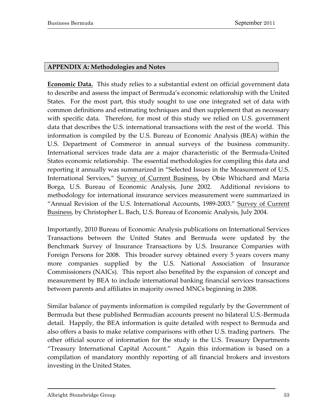#### **APPENDIX A: Methodologies and Notes**

**Economic Data.** This study relies to a substantial extent on official government data to describe and assess the impact of Bermuda's economic relationship with the United States. For the most part, this study sought to use one integrated set of data with common definitions and estimating techniques and then supplement that as necessary with specific data. Therefore, for most of this study we relied on U.S. government data that describes the U.S. international transactions with the rest of the world. This information is compiled by the U.S. Bureau of Economic Analysis (BEA) within the U.S. Department of Commerce in annual surveys of the business community. International services trade data are a major characteristic of the Bermuda-United States economic relationship. The essential methodologies for compiling this data and reporting it annually was summarized in "Selected Issues in the Measurement of U.S. International Services," Survey of Current Business, by Obie Whichard and Maria Borga, U.S. Bureau of Economic Analysis, June 2002. Additional revisions to methodology for international insurance services measurement were summarized in "Annual Revision of the U.S. International Accounts, 1989-2003." Survey of Current Business, by Christopher L. Bach, U.S. Bureau of Economic Analysis, July 2004.

Importantly, 2010 Bureau of Economic Analysis publications on International Services Transactions between the United States and Bermuda were updated by the Benchmark Survey of Insurance Transactions by U.S. Insurance Companies with Foreign Persons for 2008. This broader survey obtained every 5 years covers many more companies supplied by the U.S. National Association of Insurance Commissioners (NAICs). This report also benefited by the expansion of concept and measurement by BEA to include international banking financial services transactions between parents and affiliates in majority owned MNCs beginning in 2008.

Similar balance of payments information is compiled regularly by the Government of Bermuda but these published Bermudian accounts present no bilateral U.S.-Bermuda detail. Happily, the BEA information is quite detailed with respect to Bermuda and also offers a basis to make relative comparisons with other U.S. trading partners. The other official source of information for the study is the U.S. Treasury Departments "Treasury International Capital Account." Again this information is based on a compilation of mandatory monthly reporting of all financial brokers and investors investing in the United States.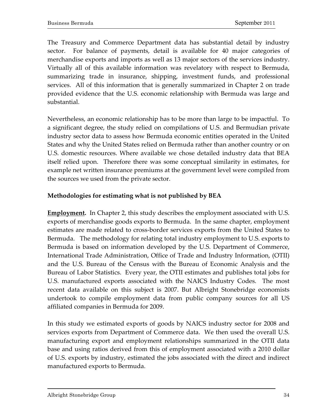The Treasury and Commerce Department data has substantial detail by industry sector. For balance of payments, detail is available for 40 major categories of merchandise exports and imports as well as 13 major sectors of the services industry. Virtually all of this available information was revelatory with respect to Bermuda, summarizing trade in insurance, shipping, investment funds, and professional services. All of this information that is generally summarized in Chapter 2 on trade provided evidence that the U.S. economic relationship with Bermuda was large and substantial.

Nevertheless, an economic relationship has to be more than large to be impactful. To a significant degree, the study relied on compilations of U.S. and Bermudian private industry sector data to assess how Bermuda economic entities operated in the United States and why the United States relied on Bermuda rather than another country or on U.S. domestic resources. Where available we chose detailed industry data that BEA itself relied upon. Therefore there was some conceptual similarity in estimates, for example net written insurance premiums at the government level were compiled from the sources we used from the private sector.

# **Methodologies\$for\$estimating what is\$not published by\$BEA**

**Employment.** In Chapter 2, this study describes the employment associated with U.S. exports of merchandise goods exports to Bermuda. In the same chapter, employment estimates are made related to cross-border services exports from the United States to Bermuda. The methodology for relating total industry employment to U.S. exports to Bermuda is based on information developed by the U.S. Department of Commerce, International Trade Administration, Office of Trade and Industry Information, (OTII) and the U.S. Bureau of the Census with the Bureau of Economic Analysis and the Bureau of Labor Statistics. Every year, the OTII estimates and publishes total jobs for U.S. manufactured exports associated with the NAICS Industry Codes. The most recent data available on this subject is 2007. But Albright Stonebridge economists undertook to compile employment data from public company sources for all US affiliated companies in Bermuda for 2009.

In this study we estimated exports of goods by NAICS industry sector for 2008 and services exports from Department of Commerce data. We then used the overall U.S. manufacturing export and employment relationships summarized in the OTII data base and using ratios derived from this of employment associated with a 2010 dollar of U.S. exports by industry, estimated the jobs associated with the direct and indirect manufactured exports to Bermuda.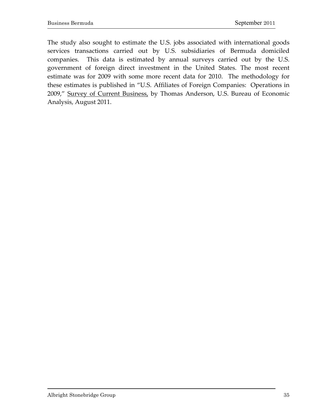The study also sought to estimate the U.S. jobs associated with international goods services transactions carried out by U.S. subsidiaries of Bermuda domiciled companies. This data is estimated by annual surveys carried out by the U.S. government of foreign direct investment in the United States. The most recent estimate was for 2009 with some more recent data for 2010. The methodology for these estimates is published in "U.S. Affiliates of Foreign Companies: Operations in 2009," Survey of Current Business, by Thomas Anderson, U.S. Bureau of Economic Analysis, August 2011.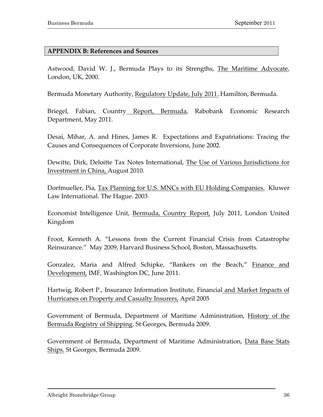#### **APPENDIX B: References and Sources**

Astwood, David W. J., Bermuda Plays to its Strengths, The Maritime Advocate, London, UK, 2000.

Bermuda Monetary Authority, Regulatory Update, July 2011. Hamilton, Bermuda.

Briegel, Fabian, Country Report, Bermuda, Rabobank Economic Research Department, May 2011.

Desai, Mihar, A. and Hines, James R. Expectations and Expatriations: Tracing the Causes and Consequences of Corporate Inversions, June 2002.

Dewitte, Dirk, Deloitte Tax Notes International, The Use of Various Jurisdictions for Investment in China, August 2010.

Dorfmueller, Pia, Tax Planning for U.S. MNCs with EU Holding Companies. Kluwer Law International. The Hague. 2003

Economist Intelligence Unit, Bermuda, Country Report, July 2011, London United Kingdom

Froot, Kenneth A. "Lessons from the Current Financial Crisis from Catastrophe Reinsurance." May 2009, Harvard Business School, Boston, Massachusetts.

Gonzalez, Maria and Alfred Schipke, "Bankers on the Beach," Finance and Development, IMF, Washington DC, June 2011.

Hartwig, Robert P., Insurance Information Institute, Financial and Market Impacts of Hurricanes on Property and Casualty Insurers, April 2005

Government of Bermuda, Department of Maritime Administration, History of the Bermuda Registry of Shipping. St Georges, Bermuda 2009.

Government of Bermuda, Department of Maritime Administration, Data Base Stats Ships. St Georges, Bermuda 2009.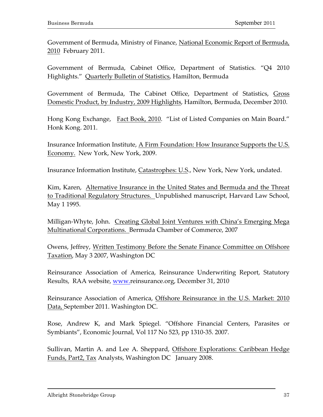Government of Bermuda, Ministry of Finance, National Economic Report of Bermuda, 2010 February 2011.

Government of Bermuda, Cabinet Office, Department of Statistics. "Q4 2010 Highlights." Quarterly Bulletin of Statistics, Hamilton, Bermuda

Government of Bermuda, The Cabinet Office, Department of Statistics, Gross Domestic Product, by Industry, 2009 Highlights, Hamilton, Bermuda, December 2010.

Hong Kong Exchange, Fact Book, 2010. "List of Listed Companies on Main Board." Honk Kong. 2011.

Insurance Information Institute, A Firm Foundation: How Insurance Supports the U.S. Economy. New York, New York, 2009.

Insurance Information Institute, Catastrophes: U.S., New York, New York, undated.

Kim, Karen, Alternative Insurance in the United States and Bermuda and the Threat to Traditional Regulatory Structures. Unpublished manuscript, Harvard Law School, May 1 1995.

Milligan-Whyte, John. Creating Global Joint Ventures with China's Emerging Mega Multinational Corporations. Bermuda Chamber of Commerce, 2007

Owens, Jeffrey, Written Testimony Before the Senate Finance Committee on Offshore Taxation, May 3 2007, Washington DC

Reinsurance Association of America, Reinsurance Underwriting Report, Statutory Results, RAA website, www.reinsurance.org, December 31, 2010

Reinsurance Association of America, Offshore Reinsurance in the U.S. Market: 2010 Data, September 2011. Washington DC.

Rose, Andrew K, and Mark Spiegel. "Offshore Financial Centers, Parasites or Symbiants", Economic Journal, Vol 117 No 523, pp 1310-35. 2007.

Sullivan, Martin A. and Lee A. Sheppard, Offshore Explorations: Caribbean Hedge Funds, Part2, Tax Analysts, Washington DC January 2008.